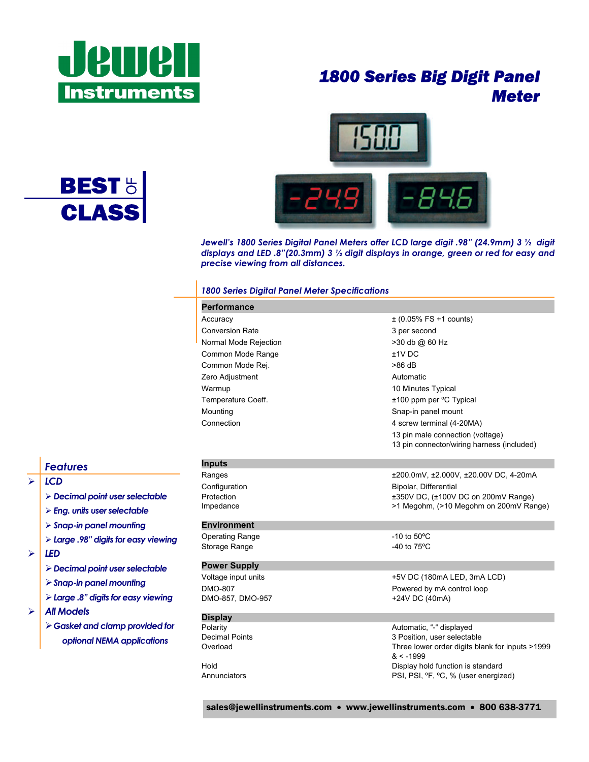

**BEST<sup>H</sup>**<br>CLASS

## *1800 Series Big Digit Panel Meter*



*Jewell's 1800 Series Digital Panel Meters offer LCD large digit .98" (24.9mm) 3 ½ digit displays and LED .8"(20.3mm) 3 ½ digit displays in orange, green or red for easy and precise viewing from all distances.*

#### *1800 Series Digital Panel Meter Specifications*

| <b>Performance</b>     |                                                              |
|------------------------|--------------------------------------------------------------|
| Accuracy               | $\pm$ (0.05% FS +1 counts)                                   |
| <b>Conversion Rate</b> | 3 per second                                                 |
| Normal Mode Rejection  | >30 db @ 60 Hz                                               |
| Common Mode Range      | $±1V$ DC                                                     |
| Common Mode Rej.       | $>86$ dB                                                     |
| Zero Adjustment        | Automatic                                                    |
| Warmup                 | 10 Minutes Typical                                           |
| Temperature Coeff.     | ±100 ppm per °C Typical                                      |
| Mounting               | Snap-in panel mount                                          |
| Connection             | 4 screw terminal (4-20MA)                                    |
|                        | 13 pin male connection (voltage)                             |
|                        | 13 pin connector/wiring harness (included)                   |
| <b>Inputs</b>          |                                                              |
| Ranges                 | ±200.0mV, ±2.000V, ±20.00V DC, 4-20mA                        |
| Configuration          | Bipolar, Differential                                        |
| Protection             | ±350V DC, (±100V DC on 200mV Range)                          |
| Impedance              | >1 Megohm, (>10 Megohm on 200mV Range)                       |
| <b>Environment</b>     |                                                              |
| <b>Operating Range</b> | $-10$ to $50^{\circ}$ C                                      |
| Storage Range          | -40 to $75^{\circ}$ C                                        |
| <b>Power Supply</b>    |                                                              |
| Voltage input units    | +5V DC (180mA LED, 3mA LCD)                                  |
| DMO-807                | Powered by mA control loop                                   |
| DMO-857, DMO-957       | +24V DC (40mA)                                               |
| <b>Display</b>         |                                                              |
| Polarity               | Automatic, "-" displayed                                     |
| <b>Decimal Points</b>  | 3 Position, user selectable                                  |
| Overload               | Three lower order digits blank for inputs >1999<br>$< -1999$ |
| Hold                   | Display hold function is standard                            |
| Annunciators           | PSI, PSI, ºF, °C, % (user energized)                         |

*Features* 

- $>$   $|$  *LCD* 
	- ¾ *Decimal point user selectable*
	- ¾ *Eng. units user selectable*
	- ¾ *Snap-in panel mounting*
	- ¾ *Large .98" digits for easy viewing*
- $>$  **LED** 
	- ¾ *Decimal point user selectable*
	- ¾ *Snap-in panel mounting*
	- ¾ *Large .8" digits for easy viewing*
- ¾ *All Models* 
	- ¾ *Gasket and clamp provided for optional NEMA applications*

sales@jewellinstruments.com • www.jewellinstruments.com • 800 638-3771